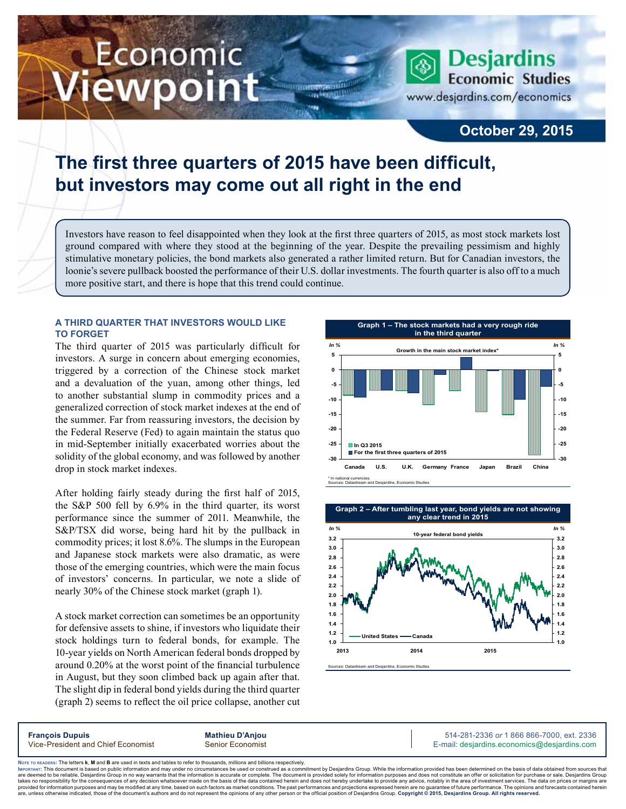# Economic iewpoint

**Desjardins Economic Studies** www.desjardins.com/economics

### **October 29, 2015**

## **The first three quarters of 2015 have been difficult, but investors may come out all right in the end**

Investors have reason to feel disappointed when they look at the first three quarters of 2015, as most stock markets lost ground compared with where they stood at the beginning of the year. Despite the prevailing pessimism and highly stimulative monetary policies, the bond markets also generated a rather limited return. But for Canadian investors, the loonie's severe pullback boosted the performance of their U.S. dollar investments. The fourth quarter is also off to a much more positive start, and there is hope that this trend could continue.

m

#### **A third quarter that investors would like to forget**

The third quarter of 2015 was particularly difficult for investors. A surge in concern about emerging economies, triggered by a correction of the Chinese stock market and a devaluation of the yuan, among other things, led to another substantial slump in commodity prices and a generalized correction of stock market indexes at the end of the summer. Far from reassuring investors, the decision by the Federal Reserve (Fed) to again maintain the status quo in mid‑September initially exacerbated worries about the solidity of the global economy, and was followed by another drop in stock market indexes.

After holding fairly steady during the first half of 2015, the S&P 500 fell by 6.9% in the third quarter, its worst performance since the summer of 2011. Meanwhile, the S&P/TSX did worse, being hard hit by the pullback in commodity prices; it lost 8.6%. The slumps in the European and Japanese stock markets were also dramatic, as were those of the emerging countries, which were the main focus of investors' concerns. In particular, we note a slide of nearly 30% of the Chinese stock market (graph 1).

A stock market correction can sometimes be an opportunity for defensive assets to shine, if investors who liquidate their stock holdings turn to federal bonds, for example. The 10‑year yields on North American federal bonds dropped by around 0.20% at the worst point of the financial turbulence in August, but they soon climbed back up again after that. The slight dip in federal bond yields during the third quarter (graph 2) seems to reflect the oil price collapse, another cut



Sources: Datastream and Desjardins, Economic Studies



**François Dupuis Mathieu D'Anjou** 514-281-2336 *or* 1 866 866-7000, ext. 2336 Vice-President and Chief Economist Senior Economist Senior Economist E-mail: desjardins.economics@desjardins.com

Noте то келоекs: The letters **k, M** and **B** are used in texts and tables to refer to thousands, millions and billions respectively.<br>Імроктлит: This document is based on public information and may under no circumstances be are deemed to be reliable. Desiardins Group in no way warrants that the information is accurate or complete. The document is provided solely for information purposes and does not constitute an offer or solicitation for pur takes no responsibility for the consequences of any decision whatsoever made on the basis of the data contained herein and does not hereby undertake to provide any advice, notably in the area of investment services. The da .<br>are, unless otherwise indicated, those of the document's authors and do not represent the opinions of any other person or the official position of Desjardins Group. Copyright © 2015, Desjardins Group. All rights reserve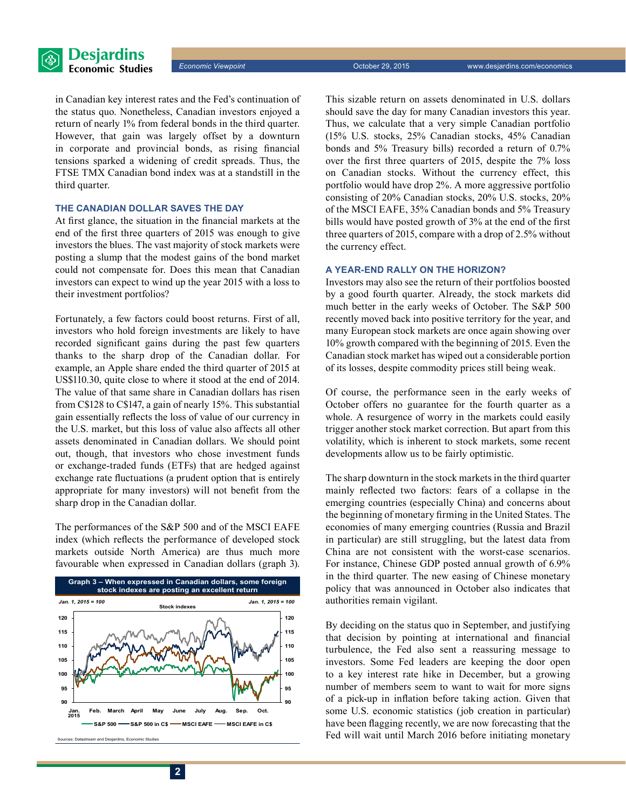

in Canadian key interest rates and the Fed's continuation of the status quo. Nonetheless, Canadian investors enjoyed a return of nearly 1% from federal bonds in the third quarter. However, that gain was largely offset by a downturn in corporate and provincial bonds, as rising financial tensions sparked a widening of credit spreads. Thus, the FTSE TMX Canadian bond index was at a standstill in the third quarter.

#### **The Canadian dollar saves the day**

At first glance, the situation in the financial markets at the end of the first three quarters of 2015 was enough to give investors the blues. The vast majority of stock markets were posting a slump that the modest gains of the bond market could not compensate for. Does this mean that Canadian investors can expect to wind up the year 2015 with a loss to their investment portfolios?

Fortunately, a few factors could boost returns. First of all, investors who hold foreign investments are likely to have recorded significant gains during the past few quarters thanks to the sharp drop of the Canadian dollar. For example, an Apple share ended the third quarter of 2015 at US\$110.30, quite close to where it stood at the end of 2014. The value of that same share in Canadian dollars has risen from C\$128 to C\$147, a gain of nearly 15%. This substantial gain essentially reflects the loss of value of our currency in the U.S. market, but this loss of value also affects all other assets denominated in Canadian dollars. We should point out, though, that investors who chose investment funds or exchange-traded funds (ETFs) that are hedged against exchange rate fluctuations (a prudent option that is entirely appropriate for many investors) will not benefit from the sharp drop in the Canadian dollar.

The performances of the S&P 500 and of the MSCI EAFE index (which reflects the performance of developed stock markets outside North America) are thus much more favourable when expressed in Canadian dollars (graph 3).



This sizable return on assets denominated in U.S. dollars should save the day for many Canadian investors this year. Thus, we calculate that a very simple Canadian portfolio (15% U.S. stocks, 25% Canadian stocks, 45% Canadian bonds and 5% Treasury bills) recorded a return of 0.7% over the first three quarters of 2015, despite the 7% loss on Canadian stocks. Without the currency effect, this portfolio would have drop 2%. A more aggressive portfolio consisting of 20% Canadian stocks, 20% U.S. stocks, 20% of the MSCI EAFE, 35% Canadian bonds and 5% Treasury bills would have posted growth of 3% at the end of the first three quarters of 2015, compare with a drop of 2.5% without the currency effect.

#### **A year-end rally on the horizon?**

Investors may also see the return of their portfolios boosted by a good fourth quarter. Already, the stock markets did much better in the early weeks of October. The S&P 500 recently moved back into positive territory for the year, and many European stock markets are once again showing over 10% growth compared with the beginning of 2015. Even the Canadian stock market has wiped out a considerable portion of its losses, despite commodity prices still being weak.

Of course, the performance seen in the early weeks of October offers no guarantee for the fourth quarter as a whole. A resurgence of worry in the markets could easily trigger another stock market correction. But apart from this volatility, which is inherent to stock markets, some recent developments allow us to be fairly optimistic.

The sharp downturn in the stock markets in the third quarter mainly reflected two factors: fears of a collapse in the emerging countries (especially China) and concerns about the beginning of monetary firming in the United States. The economies of many emerging countries (Russia and Brazil in particular) are still struggling, but the latest data from China are not consistent with the worst-case scenarios. For instance, Chinese GDP posted annual growth of 6.9% in the third quarter. The new easing of Chinese monetary policy that was announced in October also indicates that authorities remain vigilant.

By deciding on the status quo in September, and justifying that decision by pointing at international and financial turbulence, the Fed also sent a reassuring message to investors. Some Fed leaders are keeping the door open to a key interest rate hike in December, but a growing number of members seem to want to wait for more signs of a pick-up in inflation before taking action. Given that some U.S. economic statistics (job creation in particular) have been flagging recently, we are now forecasting that the Fed will wait until March 2016 before initiating monetary